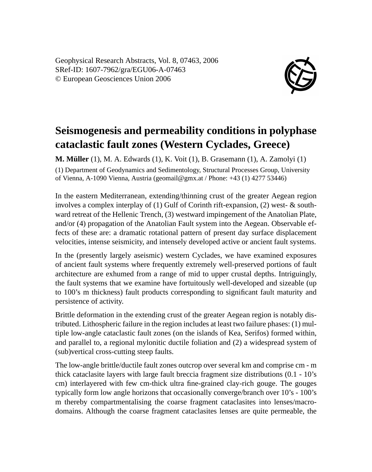Geophysical Research Abstracts, Vol. 8, 07463, 2006 SRef-ID: 1607-7962/gra/EGU06-A-07463 © European Geosciences Union 2006



## **Seismogenesis and permeability conditions in polyphase cataclastic fault zones (Western Cyclades, Greece)**

**M. Müller** (1), M. A. Edwards (1), K. Voit (1), B. Grasemann (1), A. Zamolyi (1) (1) Department of Geodynamics and Sedimentology, Structural Processes Group, University of Vienna, A-1090 Vienna, Austria (geomail@gmx.at / Phone: +43 (1) 4277 53446)

In the eastern Mediterranean, extending/thinning crust of the greater Aegean region involves a complex interplay of (1) Gulf of Corinth rift-expansion, (2) west- & southward retreat of the Hellenic Trench, (3) westward impingement of the Anatolian Plate, and/or (4) propagation of the Anatolian Fault system into the Aegean. Observable effects of these are: a dramatic rotational pattern of present day surface displacement velocities, intense seismicity, and intensely developed active or ancient fault systems.

In the (presently largely aseismic) western Cyclades, we have examined exposures of ancient fault systems where frequently extremely well-preserved portions of fault architecture are exhumed from a range of mid to upper crustal depths. Intriguingly, the fault systems that we examine have fortuitously well-developed and sizeable (up to 100's m thickness) fault products corresponding to significant fault maturity and persistence of activity.

Brittle deformation in the extending crust of the greater Aegean region is notably distributed. Lithospheric failure in the region includes at least two failure phases: (1) multiple low-angle cataclastic fault zones (on the islands of Kea, Serifos) formed within, and parallel to, a regional mylonitic ductile foliation and (2) a widespread system of (sub)vertical cross-cutting steep faults.

The low-angle brittle/ductile fault zones outcrop over several km and comprise cm - m thick cataclasite layers with large fault breccia fragment size distributions (0.1 - 10's cm) interlayered with few cm-thick ultra fine-grained clay-rich gouge. The gouges typically form low angle horizons that occasionally converge/branch over 10's - 100's m thereby compartmentalising the coarse fragment cataclasites into lenses/macrodomains. Although the coarse fragment cataclasites lenses are quite permeable, the